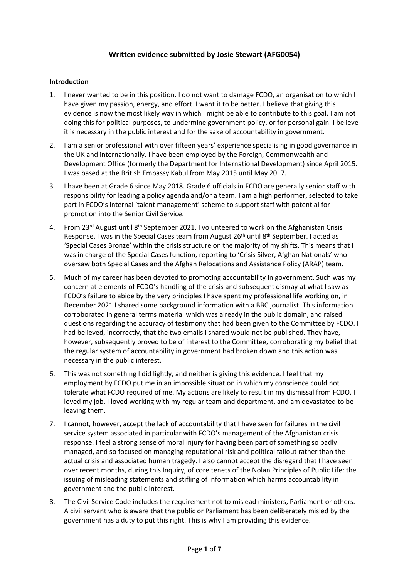# **Written evidence submitted by Josie Stewart (AFG0054)**

### **Introduction**

- 1. I never wanted to be in this position. I do not want to damage FCDO, an organisation to which I have given my passion, energy, and effort. I want it to be better. I believe that giving this evidence is now the most likely way in which I might be able to contribute to this goal. I am not doing this for political purposes, to undermine government policy, or for personal gain. I believe it is necessary in the public interest and for the sake of accountability in government.
- 2. I am a senior professional with over fifteen years' experience specialising in good governance in the UK and internationally. I have been employed by the Foreign, Commonwealth and Development Office (formerly the Department for International Development) since April 2015. I was based at the British Embassy Kabul from May 2015 until May 2017.
- 3. I have been at Grade 6 since May 2018. Grade 6 officials in FCDO are generally senior staff with responsibility for leading a policy agenda and/or a team. I am a high performer, selected to take part in FCDO's internal 'talent management' scheme to support staff with potential for promotion into the Senior Civil Service.
- 4. From 23<sup>rd</sup> August until 8<sup>th</sup> September 2021, I volunteered to work on the Afghanistan Crisis Response. I was in the Special Cases team from August 26<sup>th</sup> until 8<sup>th</sup> September. I acted as 'Special Cases Bronze' within the crisis structure on the majority of my shifts. This means that I was in charge of the Special Cases function, reporting to 'Crisis Silver, Afghan Nationals' who oversaw both Special Cases and the [Afghan](https://www.gov.uk/government/publications/afghan-relocations-and-assistance-policy/afghan-relocations-and-assistance-policy-information-and-guidance) [Relocations](https://www.gov.uk/government/publications/afghan-relocations-and-assistance-policy/afghan-relocations-and-assistance-policy-information-and-guidance) [and](https://www.gov.uk/government/publications/afghan-relocations-and-assistance-policy/afghan-relocations-and-assistance-policy-information-and-guidance) [Assistance](https://www.gov.uk/government/publications/afghan-relocations-and-assistance-policy/afghan-relocations-and-assistance-policy-information-and-guidance) [Policy](https://www.gov.uk/government/publications/afghan-relocations-and-assistance-policy/afghan-relocations-and-assistance-policy-information-and-guidance) [\(ARAP\)](https://www.gov.uk/government/publications/afghan-relocations-and-assistance-policy/afghan-relocations-and-assistance-policy-information-and-guidance) [team.](https://www.gov.uk/government/publications/afghan-relocations-and-assistance-policy/afghan-relocations-and-assistance-policy-information-and-guidance)
- [5.](https://www.gov.uk/government/publications/afghan-relocations-and-assistance-policy/afghan-relocations-and-assistance-policy-information-and-guidance) Much of my career has been devoted to promoting accountability in government. Such was my concern at elements of FCDO's handling of the crisis and subsequent dismay at what I saw as FCDO's failure to abide by the very principles I have spent my professional life working on, in December 2021 I shared some background information with a BBC journalist. This information corroborated in general terms material which was already in the public domain, and raised questions regarding the accuracy of testimony that had been given to the Committee by FCDO. I had believed, incorrectly, that the two emails I shared would not be published. They have, however, subsequently proved to be of interest to the Committee, corroborating my belief that the regular system of accountability in government had broken down and this action was necessary in the public interest.
- 6. This was not something I did lightly, and neither is giving this evidence. I feel that my employment by FCDO put me in an impossible situation in which my conscience could not tolerate what FCDO required of me. My actions are likely to result in my dismissal from FCDO. I loved my job. I loved working with my regular team and department, and am devastated to be leaving them.
- 7. I cannot, however, accept the lack of accountability that I have seen for failures in the civil service system associated in particular with FCDO's management of the Afghanistan crisis response. I feel a strong sense of moral injury for having been part of something so badly managed, and so focused on managing reputational risk and political fallout rather than the actual crisis and associated human tragedy. I also cannot accept the disregard that I have seen over recent months, during this Inquiry, of core tenets of the Nolan Principles of Public Life: the issuing of misleading statements and stifling of information which harms accountability in government and the public interest.
- 8. The Civil Service Code includes the requirement not to mislead ministers, Parliament or others. A civil servant who is aware that the public or Parliament has been deliberately misled by the government has a duty to put this right. This is why I am providing this evidence.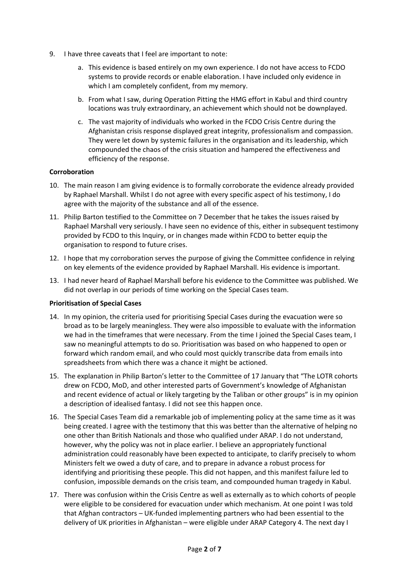- 9. I have three caveats that I feel are important to note:
	- a. This evidence is based entirely on my own experience. I do not have access to FCDO systems to provide records or enable elaboration. I have included only evidence in which I am completely confident, from my memory.
	- b. From what I saw, during Operation Pitting the HMG effort in Kabul and third country locations was truly extraordinary, an achievement which should not be downplayed.
	- c. The vast majority of individuals who worked in the FCDO Crisis Centre during the Afghanistan crisis response displayed great integrity, professionalism and compassion. They were let down by systemic failures in the organisation and its leadership, which compounded the chaos of the crisis situation and hampered the effectiveness and efficiency of the response.

## **Corroboration**

- 10. The main reason I am giving evidence is to formally corroborate the evidence already provided by Raphael Marshall. Whilst I do not agree with every specific aspect of his testimony, I do agree with the majority of the substance and all of the essence.
- 11. Philip Barton testified to the Committee on 7 December that he takes the issues raised by Raphael Marshall very seriously. I have seen no evidence of this, either in subsequent testimony provided by FCDO to this Inquiry, or in changes made within FCDO to better equip the organisation to respond to future crises.
- 12. I hope that my corroboration serves the purpose of giving the Committee confidence in relying on key elements of the evidence provided by Raphael Marshall. His evidence is important.
- 13. I had never heard of Raphael Marshall before his evidence to the Committee was published. We did not overlap in our periods of time working on the Special Cases team.

#### **Prioritisation of Special Cases**

- 14. In my opinion, the criteria used for prioritising Special Cases during the evacuation were so broad as to be largely meaningless. They were also impossible to evaluate with the information we had in the timeframes that were necessary. From the time I joined the Special Cases team, I saw no meaningful attempts to do so. Prioritisation was based on who happened to open or forward which random email, and who could most quickly transcribe data from emails into spreadsheets from which there was a chance it might be actioned.
- 15. The explanation in Philip Barton's letter to the Committee of 17 January that "The LOTR cohorts drew on FCDO, MoD, and other interested parts of Government's knowledge of Afghanistan and recent evidence of actual or likely targeting by the Taliban or other groups" is in my opinion a description of idealised fantasy. I did not see this happen once.
- 16. The Special Cases Team did a remarkable job of implementing policy at the same time as it was being created. I agree with the testimony that this was better than the alternative of helping no one other than British Nationals and those who qualified under ARAP. I do not understand, however, why the policy was not in place earlier. I believe an appropriately functional administration could reasonably have been expected to anticipate, to clarify precisely to whom Ministers felt we owed a duty of care, and to prepare in advance a robust process for identifying and prioritising these people. This did not happen, and this manifest failure led to confusion, impossible demands on the crisis team, and compounded human tragedy in Kabul.
- 17. There was confusion within the Crisis Centre as well as externally as to which cohorts of people were eligible to be considered for evacuation under which mechanism. At one point I was told that Afghan contractors – UK-funded implementing partners who had been essential to the delivery of UK priorities in Afghanistan – were eligible under ARAP Category 4. The next day I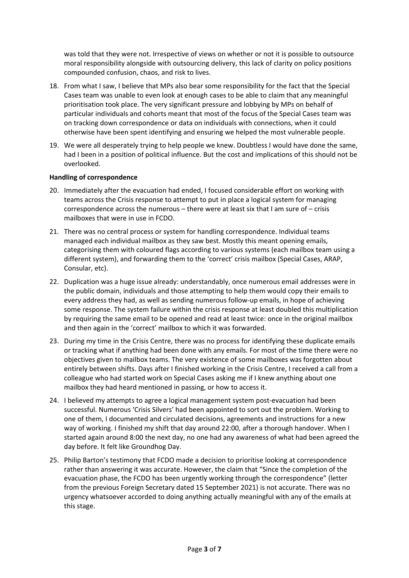was told that they were not. Irrespective of views on whether or not it is possible to outsource moral responsibility alongside with outsourcing delivery, this lack of clarity on policy positions compounded confusion, chaos, and risk to lives.

- 18. From what I saw, I believe that MPs also bear some responsibility for the fact that the Special Cases team was unable to even look at enough cases to be able to claim that any meaningful prioritisation took place. The very significant pressure and lobbying by MPs on behalf of particular individuals and cohorts meant that most of the focus of the Special Cases team was on tracking down correspondence or data on individuals with connections, when it could otherwise have been spent identifying and ensuring we helped the most vulnerable people.
- 19. We were all desperately trying to help people we knew. Doubtless I would have done the same, had I been in a position of political influence. But the cost and implications of this should not be overlooked.

## **Handling of correspondence**

- 20. Immediately after the evacuation had ended, I focused considerable effort on working with teams across the Crisis response to attempt to put in place a logical system for managing correspondence across the numerous – there were at least six that I am sure of – crisis mailboxes that were in use in FCDO.
- 21. There was no central process or system for handling correspondence. Individual teams managed each individual mailbox as they saw best. Mostly this meant opening emails, categorising them with coloured flags according to various systems (each mailbox team using a different system), and forwarding them to the 'correct' crisis mailbox (Special Cases, ARAP, Consular, etc).
- 22. Duplication was a huge issue already: understandably, once numerous email addresses were in the public domain, individuals and those attempting to help them would copy their emails to every address they had, as well as sending numerous follow-up emails, in hope of achieving some response. The system failure within the crisis response at least doubled this multiplication by requiring the same email to be opened and read at least twice: once in the original mailbox and then again in the 'correct' mailbox to which it was forwarded.
- 23. During my time in the Crisis Centre, there was no process for identifying these duplicate emails or tracking what if anything had been done with any emails. For most of the time there were no objectives given to mailbox teams. The very existence of some mailboxes was forgotten about entirely between shifts. Days after I finished working in the Crisis Centre, I received a call from a colleague who had started work on Special Cases asking me if I knew anything about one mailbox they had heard mentioned in passing, or how to access it.
- 24. I believed my attempts to agree a logical management system post-evacuation had been successful. Numerous 'Crisis Silvers' had been appointed to sort out the problem. Working to one of them, I documented and circulated decisions, agreements and instructions for a new way of working. I finished my shift that day around 22:00, after a thorough handover. When I started again around 8:00 the next day, no one had any awareness of what had been agreed the day before. It felt like Groundhog Day.
- 25. Philip Barton's testimony that FCDO made a decision to prioritise looking at correspondence rather than answering it was accurate. However, the claim that "Since the completion of the evacuation phase, the FCDO has been urgently working through the correspondence" (letter from the previous Foreign Secretary dated 15 September 2021) is not accurate. There was no urgency whatsoever accorded to doing anything actually meaningful with any of the emails at this stage.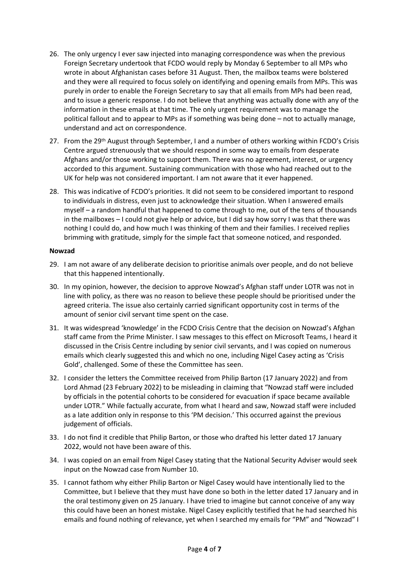- 26. The only urgency I ever saw injected into managing correspondence was when the previous Foreign Secretary undertook that FCDO would reply by Monday 6 September to all MPs who wrote in about Afghanistan cases before 31 August. Then, the mailbox teams were bolstered and they were all required to focus solely on identifying and opening emails from MPs. This was purely in order to enable the Foreign Secretary to say that all emails from MPs had been read, and to issue a generic response. I do not believe that anything was actually done with any of the information in these emails at that time. The only urgent requirement was to manage the political fallout and to appear to MPs as if something was being done – not to actually manage, understand and act on correspondence.
- 27. From the 29th August through September, I and a number of others working within FCDO's Crisis Centre argued strenuously that we should respond in some way to emails from desperate Afghans and/or those working to support them. There was no agreement, interest, or urgency accorded to this argument. Sustaining communication with those who had reached out to the UK for help was not considered important. I am not aware that it ever happened.
- 28. This was indicative of FCDO's priorities. It did not seem to be considered important to respond to individuals in distress, even just to acknowledge their situation. When I answered emails myself – a random handful that happened to come through to me, out of the tens of thousands in the mailboxes – I could not give help or advice, but I did say how sorry I was that there was nothing I could do, and how much I was thinking of them and their families. I received replies brimming with gratitude, simply for the simple fact that someone noticed, and responded.

#### **Nowzad**

- 29. I am not aware of any deliberate decision to prioritise animals over people, and do not believe that this happened intentionally.
- 30. In my opinion, however, the decision to approve Nowzad's Afghan staff under LOTR was not in line with policy, as there was no reason to believe these people should be prioritised under the agreed criteria. The issue also certainly carried significant opportunity cost in terms of the amount of senior civil servant time spent on the case.
- 31. It was widespread 'knowledge' in the FCDO Crisis Centre that the decision on Nowzad's Afghan staff came from the Prime Minister. I saw messages to this effect on Microsoft Teams, I heard it discussed in the Crisis Centre including by senior civil servants, and I was copied on numerous emails which clearly suggested this and which no one, including Nigel Casey acting as 'Crisis Gold', challenged. Some of these the Committee has seen.
- 32. I consider the letters the Committee received from Philip Barton (17 January 2022) and from Lord Ahmad (23 February 2022) to be misleading in claiming that "Nowzad staff were included by officials in the potential cohorts to be considered for evacuation if space became available under LOTR." While factually accurate, from what I heard and saw, Nowzad staff were included as a late addition only in response to this 'PM decision.' This occurred against the previous judgement of officials.
- 33. I do not find it credible that Philip Barton, or those who drafted his letter dated 17 January 2022, would not have been aware of this.
- 34. I was copied on an email from Nigel Casey stating that the National Security Adviser would seek input on the Nowzad case from Number 10.
- 35. I cannot fathom why either Philip Barton or Nigel Casey would have intentionally lied to the Committee, but I believe that they must have done so both in the letter dated 17 January and in the oral testimony given on 25 January. I have tried to imagine but cannot conceive of any way this could have been an honest mistake. Nigel Casey explicitly testified that he had searched his emails and found nothing of relevance, yet when I searched my emails for "PM" and "Nowzad" I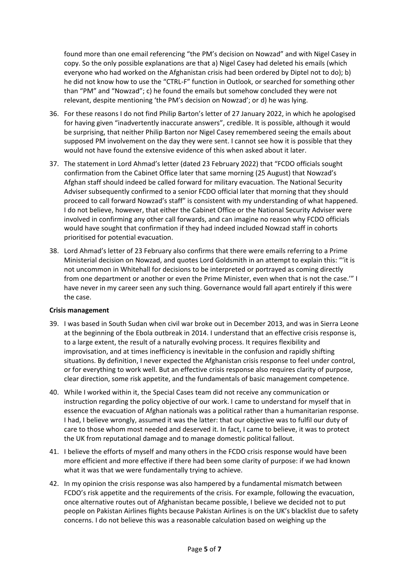found more than one email referencing "the PM's decision on Nowzad" and with Nigel Casey in copy. So the only possible explanations are that a) Nigel Casey had deleted his emails (which everyone who had worked on the Afghanistan crisis had been ordered by Diptel not to do); b) he did not know how to use the "CTRL-F" function in Outlook, or searched for something other than "PM" and "Nowzad"; c) he found the emails but somehow concluded they were not relevant, despite mentioning 'the PM's decision on Nowzad'; or d) he was lying.

- 36. For these reasons I do not find Philip Barton's letter of 27 January 2022, in which he apologised for having given "inadvertently inaccurate answers", credible. It is possible, although it would be surprising, that neither Philip Barton nor Nigel Casey remembered seeing the emails about supposed PM involvement on the day they were sent. I cannot see how it is possible that they would not have found the extensive evidence of this when asked about it later.
- 37. The statement in Lord Ahmad's letter (dated 23 February 2022) that "FCDO officials sought confirmation from the Cabinet Office later that same morning (25 August) that Nowzad's Afghan staff should indeed be called forward for military evacuation. The National Security Adviser subsequently confirmed to a senior FCDO official later that morning that they should proceed to call forward Nowzad's staff" is consistent with my understanding of what happened. I do not believe, however, that either the Cabinet Office or the National Security Adviser were involved in confirming any other call forwards, and can imagine no reason why FCDO officials would have sought that confirmation if they had indeed included Nowzad staff in cohorts prioritised for potential evacuation.
- 38. Lord Ahmad's letter of 23 February also confirms that there were emails referring to a Prime Ministerial decision on Nowzad, and quotes Lord Goldsmith in an attempt to explain this: "'it is not uncommon in Whitehall for decisions to be interpreted or portrayed as coming directly from one department or another or even the Prime Minister, even when that is not the case.'" I have never in my career seen any such thing. Governance would fall apart entirely if this were the case.

#### **Crisis management**

- 39. I was based in South Sudan when civil war broke out in December 2013, and was in Sierra Leone at the beginning of the Ebola outbreak in 2014. I understand that an effective crisis response is, to a large extent, the result of a naturally evolving process. It requires flexibility and improvisation, and at times inefficiency is inevitable in the confusion and rapidly shifting situations. By definition, I never expected the Afghanistan crisis response to feel under control, or for everything to work well. But an effective crisis response also requires clarity of purpose, clear direction, some risk appetite, and the fundamentals of basic management competence.
- 40. While I worked within it, the Special Cases team did not receive any communication or instruction regarding the policy objective of our work. I came to understand for myself that in essence the evacuation of Afghan nationals was a political rather than a humanitarian response. I had, I believe wrongly, assumed it was the latter: that our objective was to fulfil our duty of care to those whom most needed and deserved it. In fact, I came to believe, it was to protect the UK from reputational damage and to manage domestic political fallout.
- 41. I believe the efforts of myself and many others in the FCDO crisis response would have been more efficient and more effective if there had been some clarity of purpose: if we had known what it was that we were fundamentally trying to achieve.
- 42. In my opinion the crisis response was also hampered by a fundamental mismatch between FCDO's risk appetite and the requirements of the crisis. For example, following the evacuation, once alternative routes out of Afghanistan became possible, I believe we decided not to put people on Pakistan Airlines flights because Pakistan Airlines is on the UK's blacklist due to safety concerns. I do not believe this was a reasonable calculation based on weighing up the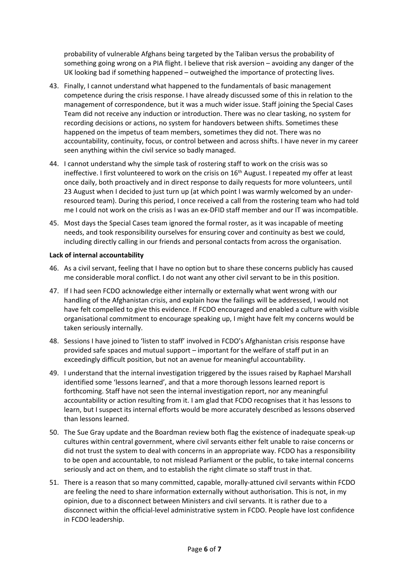probability of vulnerable Afghans being targeted by the Taliban versus the probability of something going wrong on a PIA flight. I believe that risk aversion – avoiding any danger of the UK looking bad if something happened – outweighed the importance of protecting lives.

- 43. Finally, I cannot understand what happened to the fundamentals of basic management competence during the crisis response. I have already discussed some of this in relation to the management of correspondence, but it was a much wider issue. Staff joining the Special Cases Team did not receive any induction or introduction. There was no clear tasking, no system for recording decisions or actions, no system for handovers between shifts. Sometimes these happened on the impetus of team members, sometimes they did not. There was no accountability, continuity, focus, or control between and across shifts. I have never in my career seen anything within the civil service so badly managed.
- 44. I cannot understand why the simple task of rostering staff to work on the crisis was so ineffective. I first volunteered to work on the crisis on 16<sup>th</sup> August. I repeated my offer at least once daily, both proactively and in direct response to daily requests for more volunteers, until 23 August when I decided to just turn up (at which point I was warmly welcomed by an underresourced team). During this period, I once received a call from the rostering team who had told me I could not work on the crisis as I was an ex-DFID staff member and our IT was incompatible.
- 45. Most days the Special Cases team ignored the formal roster, as it was incapable of meeting needs, and took responsibility ourselves for ensuring cover and continuity as best we could, including directly calling in our friends and personal contacts from across the organisation.

## **Lack of internal accountability**

- 46. As a civil servant, feeling that I have no option but to share these concerns publicly has caused me considerable moral conflict. I do not want any other civil servant to be in this position.
- 47. If I had seen FCDO acknowledge either internally or externally what went wrong with our handling of the Afghanistan crisis, and explain how the failings will be addressed, I would not have felt compelled to give this evidence. If FCDO encouraged and enabled a culture with visible organisational commitment to encourage speaking up, I might have felt my concerns would be taken seriously internally.
- 48. Sessions I have joined to 'listen to staff' involved in FCDO's Afghanistan crisis response have provided safe spaces and mutual support – important for the welfare of staff put in an exceedingly difficult position, but not an avenue for meaningful accountability.
- 49. I understand that the internal investigation triggered by the issues raised by Raphael Marshall identified some 'lessons learned', and that a more thorough lessons learned report is forthcoming. Staff have not seen the internal investigation report, nor any meaningful accountability or action resulting from it. I am glad that FCDO recognises that it has lessons to learn, but I suspect its internal efforts would be more accurately described as lessons observed than lessons learned.
- 50. The Sue Gray update and the Boardman review both flag the existence of inadequate speak-up cultures within central government, where civil servants either felt unable to raise concerns or did not trust the system to deal with concerns in an appropriate way. FCDO has a responsibility to be open and accountable, to not mislead Parliament or the public, to take internal concerns seriously and act on them, and to establish the right climate so staff trust in that.
- 51. There is a reason that so many committed, capable, morally-attuned civil servants within FCDO are feeling the need to share information externally without authorisation. This is not, in my opinion, due to a disconnect between Ministers and civil servants. It is rather due to a disconnect within the official-level administrative system in FCDO. People have lost confidence in FCDO leadership.